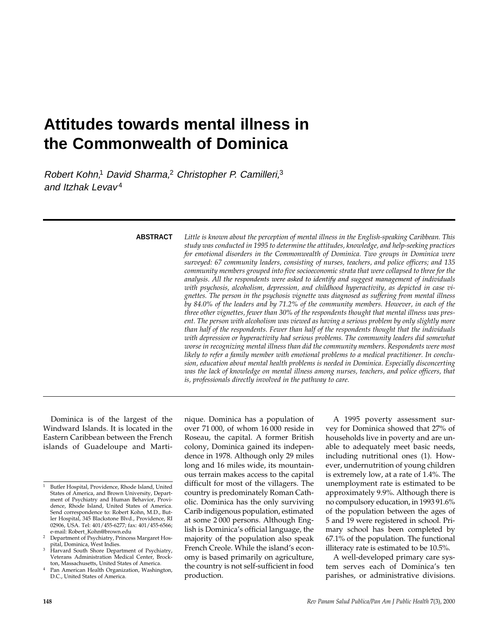# **Attitudes towards mental illness in the Commonwealth of Dominica**

Robert Kohn,<sup>1</sup> David Sharma,<sup>2</sup> Christopher P. Camilleri,<sup>3</sup> and Itzhak Levav<sup>4</sup>

**ABSTRACT**

*Little is known about the perception of mental illness in the English-speaking Caribbean. This study was conducted in 1995 to determine the attitudes, knowledge, and help-seeking practices for emotional disorders in the Commonwealth of Dominica. Two groups in Dominica were surveyed: 67 community leaders, consisting of nurses, teachers, and police officers; and 135 community members grouped into five socioeconomic strata that were collapsed to three for the analysis. All the respondents were asked to identify and suggest management of individuals with psychosis, alcoholism, depression, and childhood hyperactivity, as depicted in case vignettes. The person in the psychosis vignette was diagnosed as suffering from mental illness by 84.0% of the leaders and by 71.2% of the community members. However, in each of the three other vignettes, fewer than 30% of the respondents thought that mental illness was present. The person with alcoholism was viewed as having a serious problem by only slightly more than half of the respondents. Fewer than half of the respondents thought that the individuals with depression or hyperactivity had serious problems. The community leaders did somewhat worse in recognizing mental illness than did the community members. Respondents were most likely to refer a family member with emotional problems to a medical practitioner. In conclusion, education about mental health problems is needed in Dominica. Especially disconcerting was the lack of knowledge on mental illness among nurses, teachers, and police officers, that is, professionals directly involved in the pathway to care.*

Dominica is of the largest of the Windward Islands. It is located in the Eastern Caribbean between the French islands of Guadeloupe and Martinique. Dominica has a population of over 71 000, of whom 16 000 reside in Roseau, the capital. A former British colony, Dominica gained its independence in 1978. Although only 29 miles long and 16 miles wide, its mountainous terrain makes access to the capital difficult for most of the villagers. The country is predominately Roman Catholic. Dominica has the only surviving Carib indigenous population, estimated at some 2 000 persons. Although English is Dominica's official language, the majority of the population also speak French Creole. While the island's economy is based primarily on agriculture, the country is not self-sufficient in food production.

A 1995 poverty assessment survey for Dominica showed that 27% of households live in poverty and are unable to adequately meet basic needs, including nutritional ones (1). However, undernutrition of young children is extremely low, at a rate of 1.4%. The unemployment rate is estimated to be approximately 9.9%. Although there is no compulsory education, in 1993 91.6% of the population between the ages of 5 and 19 were registered in school. Primary school has been completed by 67.1% of the population. The functional illiteracy rate is estimated to be 10.5%.

A well-developed primary care system serves each of Dominica's ten parishes, or administrative divisions.

<sup>1</sup> Butler Hospital, Providence, Rhode Island, United States of America, and Brown University, Department of Psychiatry and Human Behavior, Providence, Rhode Island, United States of America. Send correspondence to: Robert Kohn, M.D., Butler Hospital, 345 Blackstone Blvd., Providence, RI 02906, USA. Tel: 401/455-6277; fax: 401/455-6566; e-mail: Robert\_Kohn@brown.edu

<sup>2</sup> Department of Psychiatry, Princess Margaret Hospital, Dominica, West Indies.

<sup>&</sup>lt;sup>3</sup> Harvard South Shore Department of Psychiatry, Veterans Administration Medical Center, Brockton, Massachusetts, United States of America.

Pan American Health Organization, Washington, D.C., United States of America.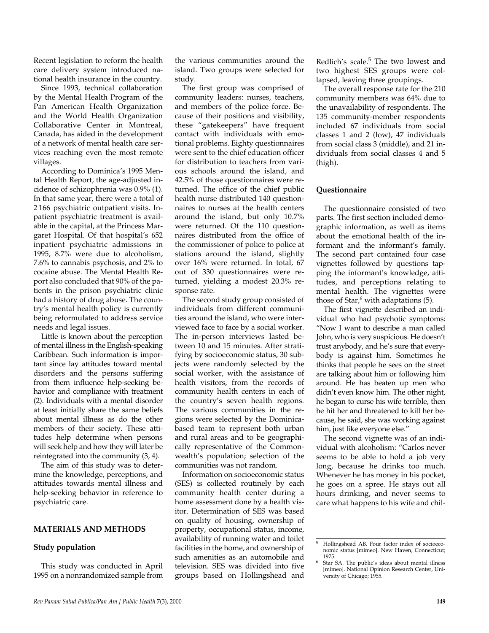Recent legislation to reform the health care delivery system introduced national health insurance in the country.

Since 1993, technical collaboration by the Mental Health Program of the Pan American Health Organization and the World Health Organization Collaborative Center in Montreal, Canada, has aided in the development of a network of mental health care services reaching even the most remote villages.

According to Dominica's 1995 Mental Health Report, the age-adjusted incidence of schizophrenia was 0.9% (1). In that same year, there were a total of 2 166 psychiatric outpatient visits. Inpatient psychiatric treatment is available in the capital, at the Princess Margaret Hospital. Of that hospital's 652 inpatient psychiatric admissions in 1995, 8.7% were due to alcoholism, 7.6% to cannabis psychosis, and 2% to cocaine abuse. The Mental Health Report also concluded that 90% of the patients in the prison psychiatric clinic had a history of drug abuse. The country's mental health policy is currently being reformulated to address service needs and legal issues.

Little is known about the perception of mental illness in the English-speaking Caribbean. Such information is important since lay attitudes toward mental disorders and the persons suffering from them influence help-seeking behavior and compliance with treatment (2). Individuals with a mental disorder at least initially share the same beliefs about mental illness as do the other members of their society. These attitudes help determine when persons will seek help and how they will later be reintegrated into the community (3, 4).

The aim of this study was to determine the knowledge, perceptions, and attitudes towards mental illness and help-seeking behavior in reference to psychiatric care.

## **MATERIALS AND METHODS**

## **Study population**

This study was conducted in April 1995 on a nonrandomized sample from

the various communities around the island. Two groups were selected for study.

The first group was comprised of community leaders: nurses, teachers, and members of the police force. Because of their positions and visibility, these "gatekeepers" have frequent contact with individuals with emotional problems. Eighty questionnaires were sent to the chief education officer for distribution to teachers from various schools around the island, and 42.5% of those questionnaires were returned. The office of the chief public health nurse distributed 140 questionnaires to nurses at the health centers around the island, but only 10.7% were returned. Of the 110 questionnaires distributed from the office of the commissioner of police to police at stations around the island, slightly over 16% were returned. In total, 67 out of 330 questionnaires were returned, yielding a modest 20.3% response rate.

The second study group consisted of individuals from different communities around the island, who were interviewed face to face by a social worker. The in-person interviews lasted between 10 and 15 minutes. After stratifying by socioeconomic status, 30 subjects were randomly selected by the social worker, with the assistance of health visitors, from the records of community health centers in each of the country's seven health regions. The various communities in the regions were selected by the Dominicabased team to represent both urban and rural areas and to be geographically representative of the Commonwealth's population; selection of the communities was not random.

Information on socioeconomic status (SES) is collected routinely by each community health center during a home assessment done by a health visitor. Determination of SES was based on quality of housing, ownership of property, occupational status, income, availability of running water and toilet facilities in the home, and ownership of such amenities as an automobile and television. SES was divided into five groups based on Hollingshead and

Redlich's scale.<sup>5</sup> The two lowest and two highest SES groups were collapsed, leaving three groupings.

The overall response rate for the 210 community members was 64% due to the unavailability of respondents. The 135 community-member respondents included 67 individuals from social classes 1 and 2 (low), 47 individuals from social class 3 (middle), and 21 individuals from social classes 4 and 5 (high).

## **Questionnaire**

The questionnaire consisted of two parts. The first section included demographic information, as well as items about the emotional health of the informant and the informant's family. The second part contained four case vignettes followed by questions tapping the informant's knowledge, attitudes, and perceptions relating to mental health. The vignettes were those of  $Star,6$  with adaptations (5).

The first vignette described an individual who had psychotic symptoms: "Now I want to describe a man called John, who is very suspicious. He doesn't trust anybody, and he's sure that everybody is against him. Sometimes he thinks that people he sees on the street are talking about him or following him around. He has beaten up men who didn't even know him. The other night, he began to curse his wife terrible, then he hit her and threatened to kill her because, he said, she was working against him, just like everyone else."

The second vignette was of an individual with alcoholism: "Carlos never seems to be able to hold a job very long, because he drinks too much. Whenever he has money in his pocket, he goes on a spree. He stays out all hours drinking, and never seems to care what happens to his wife and chil-

<sup>5</sup> Hollingshead AB. Four factor index of socioeconomic status [mimeo]. New Haven, Connecticut; 1975.

<sup>6</sup> Star SA. The public's ideas about mental illness [mimeo]. National Opinion Research Center, University of Chicago; 1955.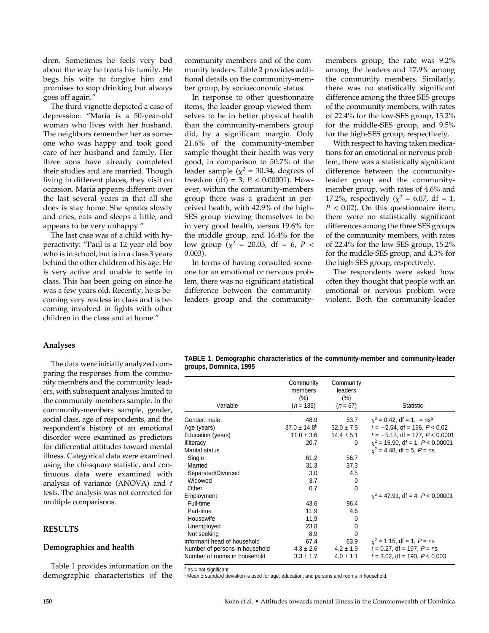dren. Sometimes he feels very bad about the way he treats his family. He begs his wife to forgive him and promises to stop drinking but always goes off again."

The third vignette depicted a case of depression: "Maria is a 50-year-old woman who lives with her husband. The neighbors remember her as someone who was happy and took good care of her husband and family. Her three sons have already completed their studies and are married. Though living in different places, they visit on occasion. Maria appears different over the last several years in that all she does is stay home. She speaks slowly and cries, eats and sleeps a little, and appears to be very unhappy."

The last case was of a child with hyperactivity: "Paul is a 12-year-old boy who is in school, but is in a class 3 years behind the other children of his age. He is very active and unable to settle in class. This has been going on since he was a few years old. Recently, he is becoming very restless in class and is becoming involved in fights with other children in the class and at home."

## **Analyses**

The data were initially analyzed comparing the responses from the community members and the community leaders, with subsequent analyses limited to the community-members sample. In the community-members sample, gender, social class, age of respondents, and the respondent's history of an emotional disorder were examined as predictors for differential attitudes toward mental illness. Categorical data were examined using the chi-square statistic, and continuous data were examined with analysis of variance (ANOVA) and *t* tests. The analysis was not corrected for multiple comparisons.

#### **RESULTS**

#### **Demographics and health**

Table 1 provides information on the demographic characteristics of the community members and of the community leaders. Table 2 provides additional details on the community-member group, by socioeconomic status.

In response to other questionnaire items, the leader group viewed themselves to be in better physical health than the community-members group did, by a significant margin. Only 21.6% of the community-member sample thought their health was very good, in comparison to 50.7% of the leader sample ( $\chi^2$  = 30.34, degrees of freedom (df) = 3,  $P < 0.00001$ ). However, within the community-members group there was a gradient in perceived health, with 42.9% of the high-SES group viewing themselves to be in very good health, versus 19.6% for the middle group, and 16.4% for the low group ( $\chi^2$  = 20.03, df = 6, P < 0.003).

In terms of having consulted someone for an emotional or nervous problem, there was no significant statistical difference between the communityleaders group and the communitymembers group; the rate was 9.2% among the leaders and 17.9% among the community members. Similarly, there was no statistically significant difference among the three SES groups of the community members, with rates of 22.4% for the low-SES group, 15.2% for the middle-SES group, and 9.5% for the high-SES group, respectively.

With respect to having taken medications for an emotional or nervous problem, there was a statistically significant difference between the communityleader group and the communitymember group, with rates of 4.6% and 17.2%, respectively ( $\chi^2 = 6.07$ , df = 1, *P* < 0.02). On this questionnaire item, there were no statistically significant differences among the three SES groups of the community members, with rates of 22.4% for the low-SES group, 15.2% for the middle-SES group, and 4.3% for the high-SES group, respectively.

The respondents were asked how often they thought that people with an emotional or nervous problem were violent. Both the community-leader

| TABLE 1. Demographic characteristics of the community-member and community-leader |  |  |
|-----------------------------------------------------------------------------------|--|--|
| groups, Dominica, 1995                                                            |  |  |

| Variable                       | Community<br>members<br>(% )<br>$(n = 135)$ | Community<br>leaders<br>(% )<br>$(n = 67)$ | Statistic                                |
|--------------------------------|---------------------------------------------|--------------------------------------------|------------------------------------------|
| Gender: male                   | 48.9                                        | 53.7                                       | $x^2 = 0.42$ , df = 1, = ns <sup>a</sup> |
| Age (years)                    | $37.0 \pm 14.8$ <sup>b</sup>                | $32.0 \pm 7.5$                             | $t = -2.54$ , df = 196, $P < 0.02$       |
| Education (years)              | $11.0 \pm 3.6$                              | $14.4 \pm 5.1$                             | $t = -5.17$ , df = 177, $P < 0.0001$     |
| <b>Illiteracy</b>              | 20.7                                        | 0                                          | $x^2$ = 15.90, df = 1, P < 0.00001       |
| <b>Marital status</b>          |                                             |                                            | $x^2 = 4.48$ , df = 5, P = ns            |
| Single                         | 61.2                                        | 56.7                                       |                                          |
| Married                        | 31.3                                        | 37.3                                       |                                          |
| Separated/Divorced             | 3.0                                         | 4.5                                        |                                          |
| Widowed                        | 3.7                                         | 0                                          |                                          |
| Other                          | 0.7                                         | 0                                          |                                          |
| Employment                     |                                             |                                            | $x^2 = 47.91$ , df = 4, P < 0.00001      |
| Full-time                      | 43.6                                        | 96.4                                       |                                          |
| Part-time                      | 11.9                                        | 4.6                                        |                                          |
| Housewife                      | 11.9                                        | 0                                          |                                          |
| Unemployed                     | 23.8                                        | 0                                          |                                          |
| Not seeking                    | 8.9                                         | $\Omega$                                   |                                          |
| Informant head of household    | 67.4                                        | 63.9                                       | $\chi^2$ = 1.15, df = 1, P = ns          |
| Number of persons in household | $4.3 \pm 2.6$                               | $4.2 \pm 1.9$                              | $t = 0.27$ , df = 197, $P =$ ns          |
| Number of rooms in household   | $3.3 \pm 1.7$                               | $4.0 \pm 1.1$                              | $t = 3.02$ , df = 190, $P < 0.003$       |

 $a$  ns = not significant.

b Mean ± standard deviation is used for age, education, and persons and rooms in household.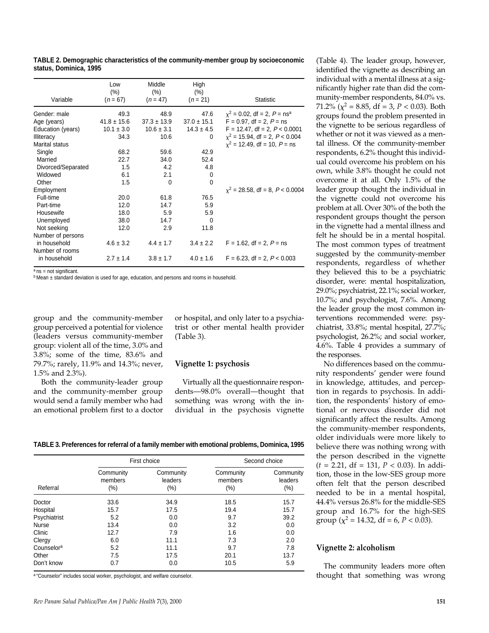| Variable           | Low<br>$(\% )$<br>$(n = 67)$ | Middle<br>(% )<br>$(n = 47)$ | High<br>(% )<br>$(n = 21)$ | <b>Statistic</b>                          |
|--------------------|------------------------------|------------------------------|----------------------------|-------------------------------------------|
| Gender: male       | 49.3                         | 48.9                         | 47.6                       | $x^2$ = 0.02, df = 2, P = ns <sup>a</sup> |
| Age (years)        | $41.8 \pm 15.6$              | $37.3 \pm 13.9$              | $37.0 \pm 15.1$            | $F = 0.97$ , df = 2, $P =$ ns             |
| Education (years)  | $10.1 \pm 3.0$               | $10.6 \pm 3.1$               | $14.3 \pm 4.5$             | $F = 12.47$ , df = 2, $P < 0.0001$        |
| <b>Illiteracy</b>  | 34.3                         | 10.6                         | 0                          | $x^2$ = 15.94, df = 2, P < 0.004          |
| Marital status     |                              |                              |                            | $x^2$ = 12.49, df = 10, P = ns            |
| Single             | 68.2                         | 59.6                         | 42.9                       |                                           |
| Married            | 22.7                         | 34.0                         | 52.4                       |                                           |
| Divorced/Separated | 1.5                          | 4.2                          | 4.8                        |                                           |
| Widowed            | 6.1                          | 2.1                          | 0                          |                                           |
| Other              | 1.5                          | $\Omega$                     | $\Omega$                   |                                           |
| Employment         |                              |                              |                            | $x^2$ = 28.58, df = 8, P < 0.0004         |
| Full-time          | 20.0                         | 61.8                         | 76.5                       |                                           |
| Part-time          | 12.0                         | 14.7                         | 5.9                        |                                           |
| Housewife          | 18.0                         | 5.9                          | 5.9                        |                                           |
| Unemployed         | 38.0                         | 14.7                         | $\Omega$                   |                                           |
| Not seeking        | 12.0                         | 2.9                          | 11.8                       |                                           |
| Number of persons  |                              |                              |                            |                                           |
| in household       | $4.6 \pm 3.2$                | $4.4 \pm 1.7$                | $3.4 \pm 2.2$              | $F = 1.62$ , df = 2, $P =$ ns             |
| Number of rooms    |                              |                              |                            |                                           |
| in household       | $2.7 \pm 1.4$                | $3.8 \pm 1.7$                | $4.0 \pm 1.6$              | $F = 6.23$ , df = 2, $P < 0.003$          |

**TABLE 2. Demographic characteristics of the community-member group by socioeconomic status, Dominica, 1995**

 $a$  ns = not significant.

<sup>b</sup> Mean ± standard deviation is used for age, education, and persons and rooms in household.

group and the community-member group perceived a potential for violence (leaders versus community-member group: violent all of the time, 3.0% and 3.8%; some of the time, 83.6% and 79.7%; rarely, 11.9% and 14.3%; never, 1.5% and 2.3%).

Both the community-leader group and the community-member group would send a family member who had an emotional problem first to a doctor or hospital, and only later to a psychiatrist or other mental health provider (Table 3).

#### **Vignette 1: psychosis**

Virtually all the questionnaire respondents—98.0% overall—thought that something was wrong with the individual in the psychosis vignette

**TABLE 3. Preferences for referral of a family member with emotional problems, Dominica, 1995**

|                        |                                 | First choice                   |                                | Second choice                   |  |
|------------------------|---------------------------------|--------------------------------|--------------------------------|---------------------------------|--|
| Referral               | Community<br>members<br>$(\% )$ | Community<br>leaders<br>$(\%)$ | Community<br>members<br>$(\%)$ | Community<br>leaders<br>$(\% )$ |  |
| Doctor                 | 33.6                            | 34.9                           | 18.5                           | 15.7                            |  |
| Hospital               | 15.7                            | 17.5                           | 19.4                           | 15.7                            |  |
| Psychiatrist           | 5.2                             | 0.0                            | 9.7                            | 39.2                            |  |
| <b>Nurse</b>           | 13.4                            | 0.0                            | 3.2                            | 0.0                             |  |
| Clinic                 | 12.7                            | 7.9                            | 1.6                            | 0.0                             |  |
| Clergy                 | 6.0                             | 11.1                           | 7.3                            | 2.0                             |  |
| Counselor <sup>a</sup> | 5.2                             | 11.1                           | 9.7                            | 7.8                             |  |
| Other                  | 7.5                             | 17.5                           | 20.1                           | 13.7                            |  |
| Don't know             | 0.7                             | 0.0                            | 10.5                           | 5.9                             |  |

a "Counselor" includes social worker, psychologist, and welfare counselor.

(Table 4). The leader group, however, identified the vignette as describing an individual with a mental illness at a significantly higher rate than did the community-member respondents, 84.0% vs. 71.2% ( $\chi^2$  = 8.85, df = 3, *P* < 0.03). Both groups found the problem presented in the vignette to be serious regardless of whether or not it was viewed as a mental illness. Of the community-member respondents, 6.2% thought this individual could overcome his problem on his own, while 3.8% thought he could not overcome it at all. Only 1.5% of the leader group thought the individual in the vignette could not overcome his problem at all. Over 30% of the both the respondent groups thought the person in the vignette had a mental illness and felt he should be in a mental hospital. The most common types of treatment suggested by the community-member respondents, regardless of whether they believed this to be a psychiatric disorder, were: mental hospitalization, 29.0%; psychiatrist, 22.1%; social worker, 10.7%; and psychologist, 7.6%. Among the leader group the most common interventions recommended were: psychiatrist, 33.8%; mental hospital, 27.7%; psychologist, 26.2%; and social worker, 4.6%. Table 4 provides a summary of the responses.

No differences based on the community respondents' gender were found in knowledge, attitudes, and perception in regards to psychosis. In addition, the respondents' history of emotional or nervous disorder did not significantly affect the results. Among the community-member respondents, older individuals were more likely to believe there was nothing wrong with the person described in the vignette (*t* = 2.21, df = 131, *P* < 0.03). In addition, those in the low-SES group more often felt that the person described needed to be in a mental hospital, 44.4% versus 26.8% for the middle-SES group and 16.7% for the high-SES group ( $\chi^2$  = 14.32, df = 6, *P* < 0.03).

#### **Vignette 2: alcoholism**

The community leaders more often thought that something was wrong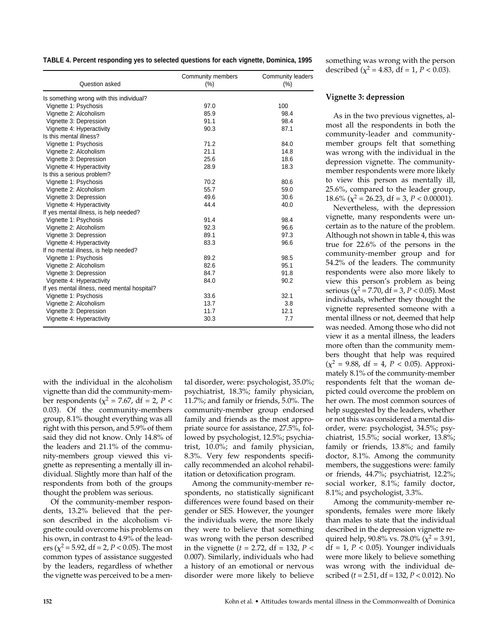**TABLE 4. Percent responding yes to selected questions for each vignette, Dominica, 1995**

| Question asked                               | Community members<br>$(\% )$ | Community leaders<br>$(\% )$ |
|----------------------------------------------|------------------------------|------------------------------|
| Is something wrong with this individual?     |                              |                              |
| Vignette 1: Psychosis                        | 97.0                         | 100                          |
| Vignette 2: Alcoholism                       | 85.9                         | 98.4                         |
| Vignette 3: Depression                       | 91.1                         | 98.4                         |
| Vignette 4: Hyperactivity                    | 90.3                         | 87.1                         |
| Is this mental illness?                      |                              |                              |
| Vignette 1: Psychosis                        | 71.2                         | 84.0                         |
| Vignette 2: Alcoholism                       | 21.1                         | 14.8                         |
| Vignette 3: Depression                       | 25.6                         | 18.6                         |
| Vignette 4: Hyperactivity                    | 28.9                         | 18.3                         |
| Is this a serious problem?                   |                              |                              |
| Vignette 1: Psychosis                        | 70.2                         | 80.6                         |
| Vignette 2: Alcoholism                       | 55.7                         | 59.0                         |
| Vignette 3: Depression                       | 49.6                         | 30.6                         |
| Vignette 4: Hyperactivity                    | 44.4                         | 40.0                         |
| If yes mental illness, is help needed?       |                              |                              |
| Vignette 1: Psychosis                        | 91.4                         | 98.4                         |
| Vignette 2: Alcoholism                       | 92.3                         | 96.6                         |
| Vignette 3: Depression                       | 89.1                         | 97.3                         |
| Vignette 4: Hyperactivity                    | 83.3                         | 96.6                         |
| If no mental illness, is help needed?        |                              |                              |
| Vignette 1: Psychosis                        | 89.2                         | 98.5                         |
| Vignette 2: Alcoholism                       | 82.6                         | 95.1                         |
| Vignette 3: Depression                       | 84.7                         | 91.8                         |
| Vignette 4: Hyperactivity                    | 84.0                         | 90.2                         |
| If yes mental illness, need mental hospital? |                              |                              |
| Vignette 1: Psychosis                        | 33.6                         | 32.1                         |
| Vignette 2: Alcoholism                       | 13.7                         | 3.8                          |
| Vignette 3: Depression                       | 11.7                         | 12.1                         |
| Vignette 4: Hyperactivity                    | 30.3                         | 7.7                          |

with the individual in the alcoholism vignette than did the community-member respondents ( $\chi^2$  = 7.67, df = 2, *P* < 0.03). Of the community-members group, 8.1% thought everything was all right with this person, and 5.9% of them said they did not know. Only 14.8% of the leaders and 21.1% of the community-members group viewed this vignette as representing a mentally ill individual. Slightly more than half of the respondents from both of the groups thought the problem was serious.

Of the community-member respondents, 13.2% believed that the person described in the alcoholism vignette could overcome his problems on his own, in contrast to 4.9% of the leaders ( $\chi^2$  = 5.92, df = 2, *P* < 0.05). The most common types of assistance suggested by the leaders, regardless of whether the vignette was perceived to be a mental disorder, were: psychologist, 35.0%; psychiatrist, 18.3%; family physician, 11.7%; and family or friends, 5.0%. The community-member group endorsed family and friends as the most appropriate source for assistance, 27.5%, followed by psychologist, 12.5%; psychiatrist, 10.0%; and family physician, 8.3%. Very few respondents specifically recommended an alcohol rehabilitation or detoxification program.

Among the community-member respondents, no statistically significant differences were found based on their gender or SES. However, the younger the individuals were, the more likely they were to believe that something was wrong with the person described in the vignette ( $t = 2.72$ , df = 132,  $P <$ 0.007). Similarly, individuals who had a history of an emotional or nervous disorder were more likely to believe

something was wrong with the person described ( $\chi^2$  = 4.83, df = 1, *P* < 0.03).

## **Vignette 3: depression**

As in the two previous vignettes, almost all the respondents in both the community-leader and communitymember groups felt that something was wrong with the individual in the depression vignette. The communitymember respondents were more likely to view this person as mentally ill, 25.6%, compared to the leader group, 18.6% ( $\chi^2$  = 26.23, df = 3, *P* < 0.00001).

Nevertheless, with the depression vignette, many respondents were uncertain as to the nature of the problem. Although not shown in table 4, this was true for 22.6% of the persons in the community-member group and for 54.2% of the leaders. The community respondents were also more likely to view this person's problem as being serious ( $\chi^2$  = 7.70, df = 3, *P* < 0.05). Most individuals, whether they thought the vignette represented someone with a mental illness or not, deemed that help was needed. Among those who did not view it as a mental illness, the leaders more often than the community members thought that help was required  $(\chi^2 = 9.88, df = 4, P < 0.05)$ . Approximately 8.1% of the community-member respondents felt that the woman depicted could overcome the problem on her own. The most common sources of help suggested by the leaders, whether or not this was considered a mental disorder, were: psychologist, 34.5%; psychiatrist, 15.5%; social worker, 13.8%; family or friends, 13.8%; and family doctor, 8.1%. Among the community members, the suggestions were: family or friends, 44.7%; psychiatrist, 12.2%; social worker, 8.1%; family doctor, 8.1%; and psychologist, 3.3%.

Among the community-member respondents, females were more likely than males to state that the individual described in the depression vignette required help, 90.8% vs. 78.0% ( $\chi^2$  = 3.91,  $df = 1$ ,  $P < 0.05$ ). Younger individuals were more likely to believe something was wrong with the individual described (*t* = 2.51, df = 132, *P* < 0.012). No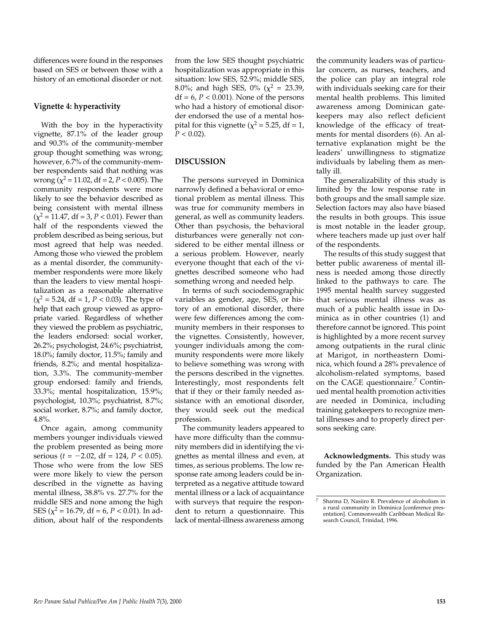differences were found in the responses based on SES or between those with a history of an emotional disorder or not.

## **Vignette 4: hyperactivity**

With the boy in the hyperactivity vignette, 87.1% of the leader group and 90.3% of the community-member group thought something was wrong; however, 6.7% of the community-member respondents said that nothing was wrong  $(\chi^2 = 11.02, df = 2, P < 0.005)$ . The community respondents were more likely to see the behavior described as being consistent with mental illness  $(x^2 = 11.47, df = 3, P < 0.01)$ . Fewer than half of the respondents viewed the problem described as being serious, but most agreed that help was needed. Among those who viewed the problem as a mental disorder, the communitymember respondents were more likely than the leaders to view mental hospitalization as a reasonable alternative  $(x^2 = 5.24, df = 1, P < 0.03)$ . The type of help that each group viewed as appropriate varied. Regardless of whether they viewed the problem as psychiatric, the leaders endorsed: social worker, 26.2%; psychologist, 24.6%; psychiatrist, 18.0%; family doctor, 11.5%; family and friends, 8.2%; and mental hospitalization, 3.3%. The community-member group endorsed: family and friends, 33.3%; mental hospitalization, 15.9%; psychologist, 10.3%; psychiatrist, 8.7%; social worker, 8.7%; and family doctor, 4.8%.

Once again, among community members younger individuals viewed the problem presented as being more serious ( $t = -2.02$ , df = 124,  $P < 0.05$ ). Those who were from the low SES were more likely to view the person described in the vignette as having mental illness, 38.8% vs. 27.7% for the middle SES and none among the high SES ( $\chi^2$  = 16.79, df = 6, *P* < 0.01). In addition, about half of the respondents

from the low SES thought psychiatric hospitalization was appropriate in this situation: low SES, 52.9%; middle SES, 8.0%; and high SES, 0% ( $\chi^2$  = 23.39,  $df = 6$ ,  $P < 0.001$ ). None of the persons who had a history of emotional disorder endorsed the use of a mental hospital for this vignette ( $\chi^2$  = 5.25, df = 1,  $P < 0.02$ ).

## **DISCUSSION**

The persons surveyed in Dominica narrowly defined a behavioral or emotional problem as mental illness. This was true for community members in general, as well as community leaders. Other than psychosis, the behavioral disturbances were generally not considered to be either mental illness or a serious problem. However, nearly everyone thought that each of the vignettes described someone who had something wrong and needed help.

In terms of such sociodemographic variables as gender, age, SES, or history of an emotional disorder, there were few differences among the community members in their responses to the vignettes. Consistently, however, younger individuals among the community respondents were more likely to believe something was wrong with the persons described in the vignettes. Interestingly, most respondents felt that if they or their family needed assistance with an emotional disorder, they would seek out the medical profession.

The community leaders appeared to have more difficulty than the community members did in identifying the vignettes as mental illness and even, at times, as serious problems. The low response rate among leaders could be interpreted as a negative attitude toward mental illness or a lack of acquaintance with surveys that require the respondent to return a questionnaire. This lack of mental-illness awareness among

the community leaders was of particular concern, as nurses, teachers, and the police can play an integral role with individuals seeking care for their mental health problems. This limited awareness among Dominican gatekeepers may also reflect deficient knowledge of the efficacy of treatments for mental disorders (6). An alternative explanation might be the leaders' unwillingness to stigmatize individuals by labeling them as mentally ill.

The generalizability of this study is limited by the low response rate in both groups and the small sample size. Selection factors may also have biased the results in both groups. This issue is most notable in the leader group, where teachers made up just over half of the respondents.

The results of this study suggest that better public awareness of mental illness is needed among those directly linked to the pathways to care. The 1995 mental health survey suggested that serious mental illness was as much of a public health issue in Dominica as in other countries (1) and therefore cannot be ignored. This point is highlighted by a more recent survey among outpatients in the rural clinic at Marigot, in northeastern Dominica, which found a 28% prevalence of alcoholism-related symptoms, based on the CAGE questionnaire.<sup>7</sup> Continued mental health promotion activities are needed in Dominica, including training gatekeepers to recognize mental illnesses and to properly direct persons seeking care.

**Acknowledgments.** This study was funded by the Pan American Health Organization.

<sup>7</sup> Sharma D, Nasiiro R. Prevalence of alcoholism in a rural community in Dominica [conference presentation]. Commonwealth Caribbean Medical Research Council, Trinidad, 1996.